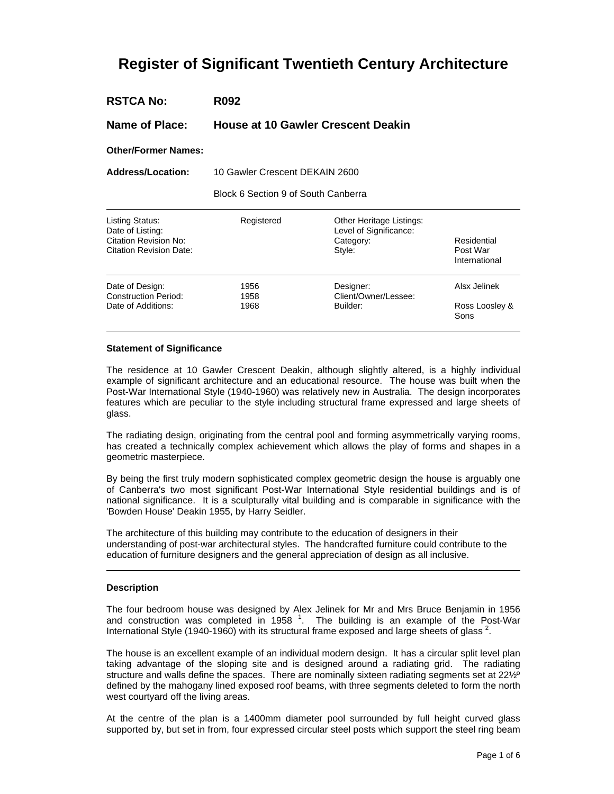# **Register of Significant Twentieth Century Architecture**

**Name of Place: House at 10 Gawler Crescent Deakin**

**Other/Former Names:** 

**Address/Location:** 10 Gawler Crescent DEKAIN 2600

Block 6 Section 9 of South Canberra

| Listing Status:<br>Date of Listing:<br><b>Citation Revision No:</b><br><b>Citation Revision Date:</b> | Registered | Other Heritage Listings:<br>Level of Significance:<br>Category:<br>Style: | Residential<br>Post War<br>International |
|-------------------------------------------------------------------------------------------------------|------------|---------------------------------------------------------------------------|------------------------------------------|
| Date of Design:                                                                                       | 1956       | Designer:                                                                 | Alsx Jelinek                             |
| <b>Construction Period:</b>                                                                           | 1958       | Client/Owner/Lessee:                                                      |                                          |
| Date of Additions:                                                                                    | 1968       | Builder:                                                                  | Ross Loosley &<br>Sons                   |

#### **Statement of Significance**

The residence at 10 Gawler Crescent Deakin, although slightly altered, is a highly individual example of significant architecture and an educational resource. The house was built when the Post-War International Style (1940-1960) was relatively new in Australia. The design incorporates features which are peculiar to the style including structural frame expressed and large sheets of glass.

The radiating design, originating from the central pool and forming asymmetrically varying rooms, has created a technically complex achievement which allows the play of forms and shapes in a geometric masterpiece.

By being the first truly modern sophisticated complex geometric design the house is arguably one of Canberra's two most significant Post-War International Style residential buildings and is of national significance. It is a sculpturally vital building and is comparable in significance with the 'Bowden House' Deakin 1955, by Harry Seidler.

The architecture of this building may contribute to the education of designers in their understanding of post-war architectural styles. The handcrafted furniture could contribute to the education of furniture designers and the general appreciation of design as all inclusive.

## **Description**

The four bedroom house was designed by Alex Jelinek for Mr and Mrs Bruce Benjamin in 1956 and construction was completed in 1958  $^1$ . The building is an example of the Post-War International Style (1940-1960) with its structural frame exposed and large sheets of glass  $2$ .

The house is an excellent example of an individual modern design. It has a circular split level plan taking advantage of the sloping site and is designed around a radiating grid. The radiating structure and walls define the spaces. There are nominally sixteen radiating segments set at 22½<sup>o</sup> defined by the mahogany lined exposed roof beams, with three segments deleted to form the north west courtyard off the living areas.

At the centre of the plan is a 1400mm diameter pool surrounded by full height curved glass supported by, but set in from, four expressed circular steel posts which support the steel ring beam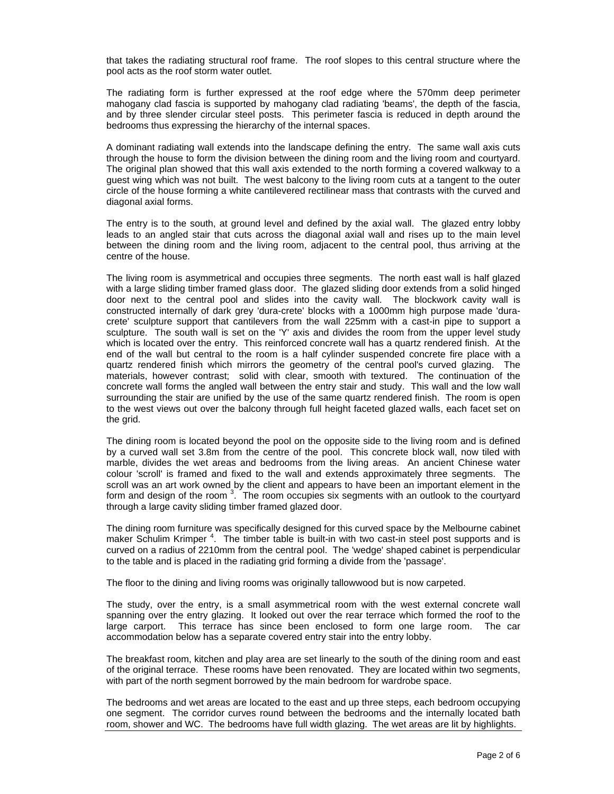that takes the radiating structural roof frame. The roof slopes to this central structure where the pool acts as the roof storm water outlet.

The radiating form is further expressed at the roof edge where the 570mm deep perimeter mahogany clad fascia is supported by mahogany clad radiating 'beams', the depth of the fascia, and by three slender circular steel posts. This perimeter fascia is reduced in depth around the bedrooms thus expressing the hierarchy of the internal spaces.

A dominant radiating wall extends into the landscape defining the entry. The same wall axis cuts through the house to form the division between the dining room and the living room and courtyard. The original plan showed that this wall axis extended to the north forming a covered walkway to a guest wing which was not built. The west balcony to the living room cuts at a tangent to the outer circle of the house forming a white cantilevered rectilinear mass that contrasts with the curved and diagonal axial forms.

The entry is to the south, at ground level and defined by the axial wall. The glazed entry lobby leads to an angled stair that cuts across the diagonal axial wall and rises up to the main level between the dining room and the living room, adjacent to the central pool, thus arriving at the centre of the house.

The living room is asymmetrical and occupies three segments. The north east wall is half glazed with a large sliding timber framed glass door. The glazed sliding door extends from a solid hinged door next to the central pool and slides into the cavity wall. The blockwork cavity wall is constructed internally of dark grey 'dura-crete' blocks with a 1000mm high purpose made 'duracrete' sculpture support that cantilevers from the wall 225mm with a cast-in pipe to support a sculpture. The south wall is set on the 'Y' axis and divides the room from the upper level study which is located over the entry. This reinforced concrete wall has a quartz rendered finish. At the end of the wall but central to the room is a half cylinder suspended concrete fire place with a quartz rendered finish which mirrors the geometry of the central pool's curved glazing. The materials, however contrast; solid with clear, smooth with textured. The continuation of the concrete wall forms the angled wall between the entry stair and study. This wall and the low wall surrounding the stair are unified by the use of the same quartz rendered finish. The room is open to the west views out over the balcony through full height faceted glazed walls, each facet set on the grid.

The dining room is located beyond the pool on the opposite side to the living room and is defined by a curved wall set 3.8m from the centre of the pool. This concrete block wall, now tiled with marble, divides the wet areas and bedrooms from the living areas. An ancient Chinese water colour 'scroll' is framed and fixed to the wall and extends approximately three segments. The scroll was an art work owned by the client and appears to have been an important element in the form and design of the room  $3.$  The room occupies six segments with an outlook to the courtyard through a large cavity sliding timber framed glazed door.

The dining room furniture was specifically designed for this curved space by the Melbourne cabinet maker Schulim Krimper<sup>4</sup>. The timber table is built-in with two cast-in steel post supports and is curved on a radius of 2210mm from the central pool. The 'wedge' shaped cabinet is perpendicular to the table and is placed in the radiating grid forming a divide from the 'passage'.

The floor to the dining and living rooms was originally tallowwood but is now carpeted.

The study, over the entry, is a small asymmetrical room with the west external concrete wall spanning over the entry glazing. It looked out over the rear terrace which formed the roof to the large carport. This terrace has since been enclosed to form one large room. The car accommodation below has a separate covered entry stair into the entry lobby.

The breakfast room, kitchen and play area are set linearly to the south of the dining room and east of the original terrace. These rooms have been renovated. They are located within two segments, with part of the north segment borrowed by the main bedroom for wardrobe space.

The bedrooms and wet areas are located to the east and up three steps, each bedroom occupying one segment. The corridor curves round between the bedrooms and the internally located bath room, shower and WC. The bedrooms have full width glazing. The wet areas are lit by highlights.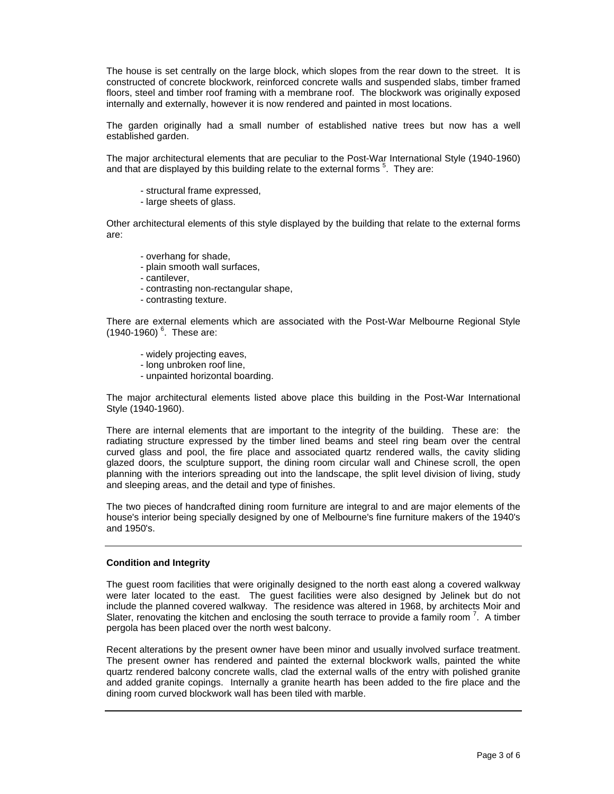The house is set centrally on the large block, which slopes from the rear down to the street. It is constructed of concrete blockwork, reinforced concrete walls and suspended slabs, timber framed floors, steel and timber roof framing with a membrane roof. The blockwork was originally exposed internally and externally, however it is now rendered and painted in most locations.

The garden originally had a small number of established native trees but now has a well established garden.

The major architectural elements that are peculiar to the Post-War International Style (1940-1960) and that are displayed by this building relate to the external forms  $5$ . They are:

- structural frame expressed,
- large sheets of glass.

Other architectural elements of this style displayed by the building that relate to the external forms are:

- overhang for shade,
- plain smooth wall surfaces,
- cantilever,
- contrasting non-rectangular shape,
- contrasting texture.

There are external elements which are associated with the Post-War Melbourne Regional Style  $(1940-1960)$ <sup>6</sup>. These are:

- widely projecting eaves,
- long unbroken roof line,
- unpainted horizontal boarding.

The major architectural elements listed above place this building in the Post-War International Style (1940-1960).

There are internal elements that are important to the integrity of the building. These are: the radiating structure expressed by the timber lined beams and steel ring beam over the central curved glass and pool, the fire place and associated quartz rendered walls, the cavity sliding glazed doors, the sculpture support, the dining room circular wall and Chinese scroll, the open planning with the interiors spreading out into the landscape, the split level division of living, study and sleeping areas, and the detail and type of finishes.

The two pieces of handcrafted dining room furniture are integral to and are major elements of the house's interior being specially designed by one of Melbourne's fine furniture makers of the 1940's and 1950's.

#### **Condition and Integrity**

The guest room facilities that were originally designed to the north east along a covered walkway were later located to the east. The guest facilities were also designed by Jelinek but do not include the planned covered walkway. The residence was altered in 1968, by architects Moir and Slater, renovating the kitchen and enclosing the south terrace to provide a family room  $7$ . A timber pergola has been placed over the north west balcony.

Recent alterations by the present owner have been minor and usually involved surface treatment. The present owner has rendered and painted the external blockwork walls, painted the white quartz rendered balcony concrete walls, clad the external walls of the entry with polished granite and added granite copings. Internally a granite hearth has been added to the fire place and the dining room curved blockwork wall has been tiled with marble.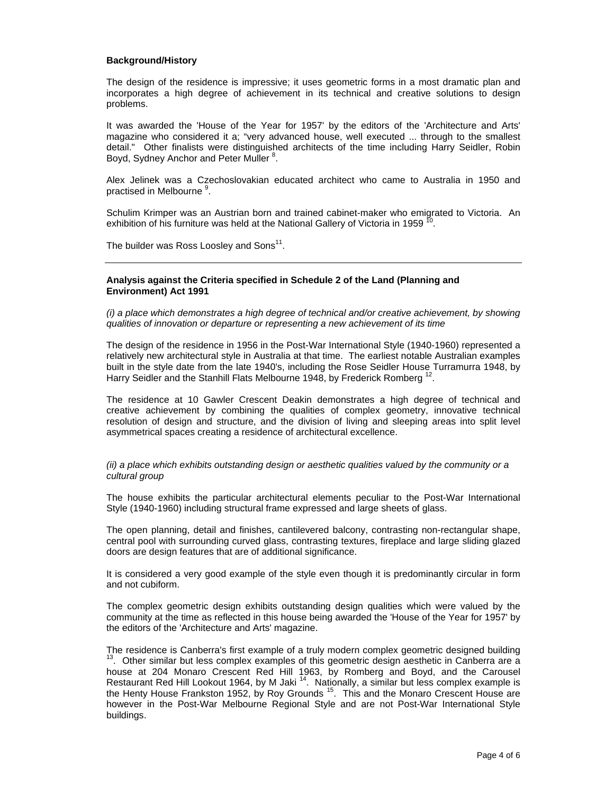## **Background/History**

The design of the residence is impressive; it uses geometric forms in a most dramatic plan and incorporates a high degree of achievement in its technical and creative solutions to design problems.

It was awarded the 'House of the Year for 1957' by the editors of the 'Architecture and Arts' magazine who considered it a; "very advanced house, well executed ... through to the smallest detail." Other finalists were distinguished architects of the time including Harry Seidler, Robin Boyd, Sydney Anchor and Peter Muller<sup>8</sup>.

Alex Jelinek was a Czechoslovakian educated architect who came to Australia in 1950 and practised in Melbourne <sup>9</sup>.

Schulim Krimper was an Austrian born and trained cabinet-maker who emigrated to Victoria. An exhibition of his furniture was held at the National Gallery of Victoria in 1959<sup>1</sup> .

The builder was Ross Loosley and Sons $^{11}$ .

### **Analysis against the Criteria specified in Schedule 2 of the Land (Planning and Environment) Act 1991**

(i) a place which demonstrates a high degree of technical and/or creative achievement, by showing qualities of innovation or departure or representing a new achievement of its time

The design of the residence in 1956 in the Post-War International Style (1940-1960) represented a relatively new architectural style in Australia at that time. The earliest notable Australian examples built in the style date from the late 1940's, including the Rose Seidler House Turramurra 1948, by Harry Seidler and the Stanhill Flats Melbourne 1948, by Frederick Romberg  $^{12}$ .

The residence at 10 Gawler Crescent Deakin demonstrates a high degree of technical and creative achievement by combining the qualities of complex geometry, innovative technical resolution of design and structure, and the division of living and sleeping areas into split level asymmetrical spaces creating a residence of architectural excellence.

(ii) a place which exhibits outstanding design or aesthetic qualities valued by the community or a cultural group

The house exhibits the particular architectural elements peculiar to the Post-War International Style (1940-1960) including structural frame expressed and large sheets of glass.

The open planning, detail and finishes, cantilevered balcony, contrasting non-rectangular shape, central pool with surrounding curved glass, contrasting textures, fireplace and large sliding glazed doors are design features that are of additional significance.

It is considered a very good example of the style even though it is predominantly circular in form and not cubiform.

The complex geometric design exhibits outstanding design qualities which were valued by the community at the time as reflected in this house being awarded the 'House of the Year for 1957' by the editors of the 'Architecture and Arts' magazine.

The residence is Canberra's first example of a truly modern complex geometric designed building  $13.$  Other similar but less complex examples of this geometric design aesthetic in Canberra are a house at 204 Monaro Crescent Red Hill 1963, by Romberg and Boyd, and the Carousel Restaurant Red Hill Lookout 1964, by M Jaki <sup>14</sup>. Nationally, a similar but less complex example is the Henty House Frankston 1952, by Roy Grounds <sup>15</sup>. This and the Monaro Crescent House are however in the Post-War Melbourne Regional Style and are not Post-War International Style buildings.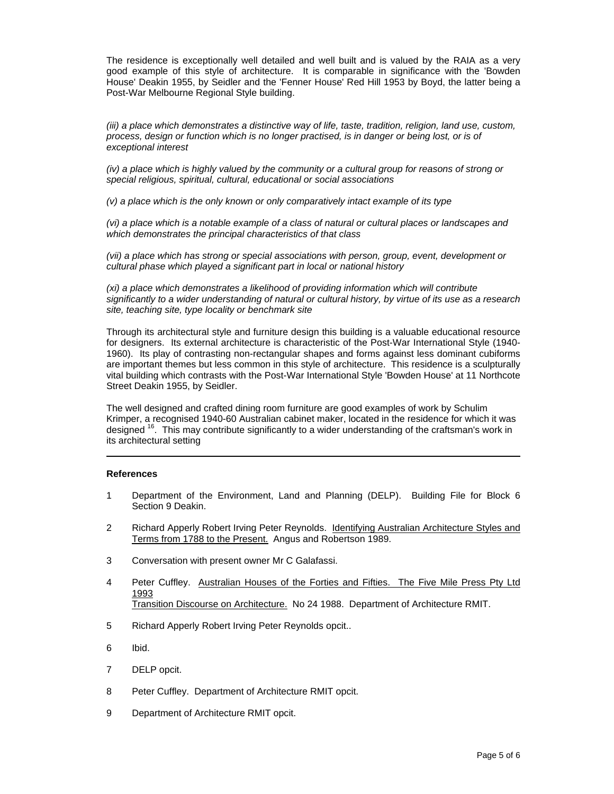The residence is exceptionally well detailed and well built and is valued by the RAIA as a very good example of this style of architecture. It is comparable in significance with the 'Bowden House' Deakin 1955, by Seidler and the 'Fenner House' Red Hill 1953 by Boyd, the latter being a Post-War Melbourne Regional Style building.

(iii) a place which demonstrates a distinctive way of life, taste, tradition, religion, land use, custom, process, design or function which is no longer practised, is in danger or being lost, or is of exceptional interest

(iv) a place which is highly valued by the community or a cultural group for reasons of strong or special religious, spiritual, cultural, educational or social associations

(v) a place which is the only known or only comparatively intact example of its type

(vi) a place which is a notable example of a class of natural or cultural places or landscapes and which demonstrates the principal characteristics of that class

(vii) a place which has strong or special associations with person, group, event, development or cultural phase which played a significant part in local or national history

(xi) a place which demonstrates a likelihood of providing information which will contribute significantly to a wider understanding of natural or cultural history, by virtue of its use as a research site, teaching site, type locality or benchmark site

Through its architectural style and furniture design this building is a valuable educational resource for designers. Its external architecture is characteristic of the Post-War International Style (1940- 1960). Its play of contrasting non-rectangular shapes and forms against less dominant cubiforms are important themes but less common in this style of architecture. This residence is a sculpturally vital building which contrasts with the Post-War International Style 'Bowden House' at 11 Northcote Street Deakin 1955, by Seidler.

The well designed and crafted dining room furniture are good examples of work by Schulim Krimper, a recognised 1940-60 Australian cabinet maker, located in the residence for which it was designed <sup>16</sup>. This may contribute significantly to a wider understanding of the craftsman's work in its architectural setting

#### **References**

- 1 Department of the Environment, Land and Planning (DELP). Building File for Block 6 Section 9 Deakin.
- 2 Richard Apperly Robert Irving Peter Reynolds. Identifying Australian Architecture Styles and Terms from 1788 to the Present. Angus and Robertson 1989.
- 3 Conversation with present owner Mr C Galafassi.
- 4 Peter Cuffley. Australian Houses of the Forties and Fifties. The Five Mile Press Pty Ltd 1993 Transition Discourse on Architecture. No 24 1988. Department of Architecture RMIT.
- 5 Richard Apperly Robert Irving Peter Reynolds opcit..
- 6 Ibid.
- 7 DELP opcit.
- 8 Peter Cuffley. Department of Architecture RMIT opcit.
- 9 Department of Architecture RMIT opcit.